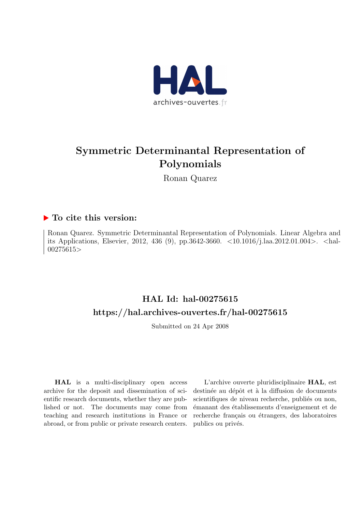

# Symmetric Determinantal Representation of Polynomials

Ronan Quarez

### ▶ To cite this version:

Ronan Quarez. Symmetric Determinantal Representation of Polynomials. Linear Algebra and its Applications, Elsevier, 2012, 436 (9), pp.3642-3660. <10.1016/j.laa.2012.01.004>. <hal-00275615>

# HAL Id: hal-00275615 <https://hal.archives-ouvertes.fr/hal-00275615>

Submitted on 24 Apr 2008

HAL is a multi-disciplinary open access archive for the deposit and dissemination of scientific research documents, whether they are published or not. The documents may come from teaching and research institutions in France or abroad, or from public or private research centers.

L'archive ouverte pluridisciplinaire HAL, est destinée au dépôt et à la diffusion de documents scientifiques de niveau recherche, publiés ou non, ´emanant des ´etablissements d'enseignement et de recherche français ou étrangers, des laboratoires publics ou privés.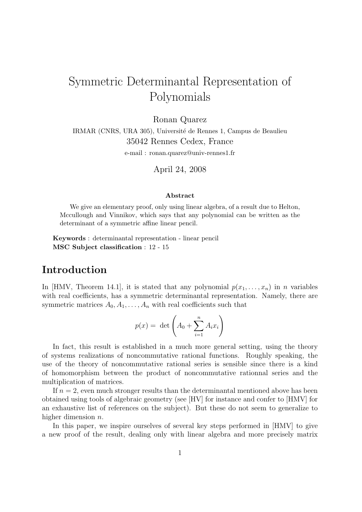# Symmetric Determinantal Representation of Polynomials

Ronan Quarez

IRMAR (CNRS, URA 305), Université de Rennes 1, Campus de Beaulieu 35042 Rennes Cedex, France

e-mail : ronan.quarez@univ-rennes1.fr

April 24, 2008

#### Abstract

We give an elementary proof, only using linear algebra, of a result due to Helton, Mccullough and Vinnikov, which says that any polynomial can be written as the determinant of a symmetric affine linear pencil.

Keywords : determinantal representation - linear pencil MSC Subject classification : 12 - 15

# Introduction

In [HMV, Theorem 14.1], it is stated that any polynomial  $p(x_1, \ldots, x_n)$  in n variables with real coefficients, has a symmetric determinantal representation. Namely, there are symmetric matrices  $A_0, A_1, \ldots, A_n$  with real coefficients such that

$$
p(x) = \det \left( A_0 + \sum_{i=1}^n A_i x_i \right)
$$

In fact, this result is established in a much more general setting, using the theory of systems realizations of noncommutative rational functions. Roughly speaking, the use of the theory of noncommutative rational series is sensible since there is a kind of homomorphism between the product of noncommutative rationnal series and the multiplication of matrices.

If  $n = 2$ , even much stronger results than the determinantal mentioned above has been obtained using tools of algebraic geometry (see [HV] for instance and confer to [HMV] for an exhaustive list of references on the subject). But these do not seem to generalize to higher dimension *n*.

In this paper, we inspire ourselves of several key steps performed in [HMV] to give a new proof of the result, dealing only with linear algebra and more precisely matrix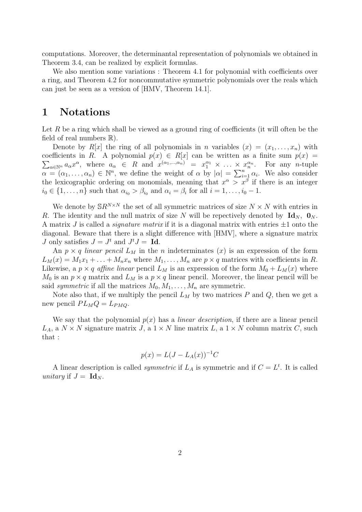computations. Moreover, the determinantal representation of polynomials we obtained in Theorem 3.4, can be realized by explicit formulas.

We also mention some variations : Theorem 4.1 for polynomial with coefficients over a ring, and Theorem 4.2 for noncommutative symmetric polynomials over the reals which can just be seen as a version of [HMV, Theorem 14.1].

## 1 Notations

Let R be a ring which shall be viewed as a ground ring of coefficients (it will often be the field of real numbers  $\mathbb{R}$ ).

Denote by  $R[x]$  the ring of all polynomials in n variables  $(x) = (x_1, \ldots, x_n)$  with  $\sum_{\alpha \in \mathbb{N}^n} a_{\alpha} x^{\alpha}$ , where  $a_{\alpha} \in R$  and  $x^{(\alpha_1, ..., \alpha_n)} = x_1^{\alpha_1} \times ... \times x_n^{\alpha_n}$ . For any *n*-tuple coefficients in R. A polynomial  $p(x) \in R[x]$  can be written as a finite sum  $p(x) =$  $\alpha = (\alpha_1, \ldots, \alpha_n) \in \mathbb{N}^n$ , we define the weight of  $\alpha$  by  $|\alpha| = \sum_{i=1}^n \alpha_i$ . We also consider the lexicographic ordering on monomials, meaning that  $x^{\alpha} > x^{\beta}$  if there is an integer  $i_0 \in \{1, \ldots, n\}$  such that  $\alpha_{i_0} > \beta_{i_0}$  and  $\alpha_i = \beta_i$  for all  $i = 1, \ldots, i_0 - 1$ .

We denote by  $\mathbb{S}R^{N\times N}$  the set of all symmetric matrices of size  $N\times N$  with entries in R. The identity and the null matrix of size N will be repectively denoted by  $\mathbf{Id}_N$ ,  $\mathbf{0}_N$ . A matrix J is called a *signature matrix* if it is a diagonal matrix with entries  $\pm 1$  onto the diagonal. Beware that there is a slight difference with [HMV], where a signature matrix *J* only satisfies  $J = J^t$  and  $J^t J = \mathbf{Id}$ .

An  $p \times q$  linear pencil  $L_M$  in the n indeterminates  $(x)$  is an expression of the form  $L_M(x) = M_1x_1 + \ldots + M_nx_n$  where  $M_1, \ldots, M_n$  are  $p \times q$  matrices with coefficients in R. Likewise, a  $p \times q$  affine linear pencil  $L_M$  is an expression of the form  $M_0 + L_M(x)$  where  $M_0$  is an  $p \times q$  matrix and  $L_M$  is a  $p \times q$  linear pencil. Moreover, the linear pencil will be said *symmetric* if all the matrices  $M_0, M_1, \ldots, M_n$  are symmetric.

Note also that, if we multiply the pencil  $L_M$  by two matrices P and Q, then we get a new pencil  $PL_MQ = L_{PMQ}$ .

We say that the polynomial  $p(x)$  has a *linear description*, if there are a linear pencil  $L_A$ , a  $N \times N$  signature matrix J, a  $1 \times N$  line matrix L, a  $1 \times N$  column matrix C, such that :

$$
p(x) = L(J - L_A(x))^{-1}C
$$

A linear description is called *symmetric* if  $L_A$  is symmetric and if  $C = L^t$ . It is called unitary if  $J = \mathbf{Id}_N$ .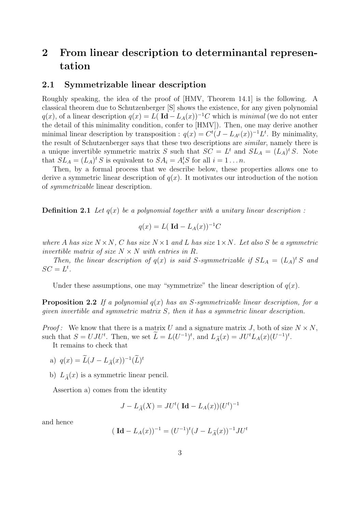# 2 From linear description to determinantal representation

### 2.1 Symmetrizable linear description

Roughly speaking, the idea of the proof of [HMV, Theorem 14.1] is the following. A classical theorem due to Schutzenberger [S] shows the existence, for any given polynomial  $q(x)$ , of a linear description  $q(x) = L(\text{Id} - L_A(x))^{-1}C$  which is minimal (we do not enter the detail of this minimality condition, confer to [HMV]). Then, one may derive another minimal linear description by transposition :  $q(x) = C^{t}(J - L_{A^{t}}(x))^{-1}L^{t}$ . By minimality, the result of Schutzenberger says that these two descriptions are similar, namely there is a unique invertible symmetric matrix S such that  $SC = L<sup>t</sup>$  and  $SL_A = (L_A)^t S$ . Note that  $SL_A = (L_A)^t S$  is equivalent to  $SA_i = A_i^t S$  for all  $i = 1 \dots n$ .

Then, by a formal process that we describe below, these properties allows one to derive a symmetric linear description of  $q(x)$ . It motivates our introduction of the notion of symmetrizable linear description.

**Definition 2.1** Let  $q(x)$  be a polynomial together with a unitary linear description:

$$
q(x) = L(\operatorname{Id} - L_A(x))^{-1}C
$$

where A has size  $N \times N$ , C has size  $N \times 1$  and L has size  $1 \times N$ . Let also S be a symmetric invertible matrix of size  $N \times N$  with entries in R.

Then, the linear description of  $q(x)$  is said S-symmetrizable if  $SL_A = (L_A)^t S$  and  $SC = L^t$ .

Under these assumptions, one may "symmetrize" the linear description of  $q(x)$ .

**Proposition 2.2** If a polynomial  $q(x)$  has an S-symmetrizable linear description, for a given invertible and symmetric matrix S, then it has a symmetric linear description.

*Proof*: We know that there is a matrix U and a signature matrix J, both of size  $N \times N$ , such that  $S = UJU^t$ . Then, we set  $\tilde{L} = L(U^{-1})^t$ , and  $L_{\tilde{A}}(x) = JU^tL_A(x)(U^{-1})^t$ .

It remains to check that

a) 
$$
q(x) = \widetilde{L}(J - L_{\widetilde{A}}(x))^{-1}(\widetilde{L})^t
$$

b)  $L_{\tilde{A}}(x)$  is a symmetric linear pencil.

Assertion a) comes from the identity

$$
J - L_{\widetilde{A}}(X) = JU^t(\ \mathbf{Id} - L_A(x))(U^t)^{-1}
$$

and hence

$$
(\mathbf{Id} - L_A(x))^{-1} = (U^{-1})^t (J - L_{\widetilde{A}}(x))^{-1} J U^t
$$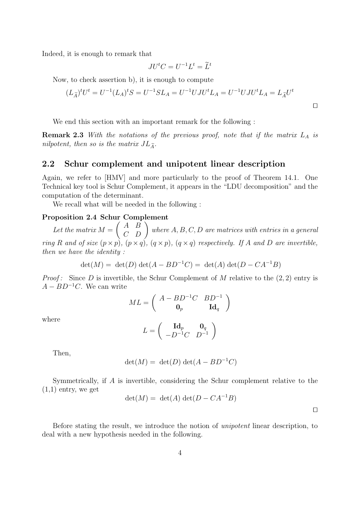Indeed, it is enough to remark that

$$
JU^tC = U^{-1}L^t = \widetilde{L}^t
$$

Now, to check assertion b), it is enough to compute

$$
(L_{\tilde{A}})^t U^t = U^{-1} (L_A)^t S = U^{-1} S L_A = U^{-1} U J U^t L_A = U^{-1} U J U^t L_A = L_{\tilde{A}} U^t
$$

We end this section with an important remark for the following :

**Remark 2.3** With the notations of the previous proof, note that if the matrix  $L_A$  is nilpotent, then so is the matrix  $J L_{\tilde{\lambda}}$ .

### 2.2 Schur complement and unipotent linear description

Again, we refer to [HMV] and more particularly to the proof of Theorem 14.1. One Technical key tool is Schur Complement, it appears in the "LDU decomposition" and the computation of the determinant.

We recall what will be needed in the following :

### Proposition 2.4 Schur Complement

Let the matrix  $M =$  $\begin{pmatrix} A & B \\ C & D \end{pmatrix}$  where  $A, B, C, D$  are matrices with entries in a general ring R and of size  $(p \times p)$ ,  $(p \times q)$ ,  $(q \times p)$ ,  $(q \times q)$  respectively. If A and D are invertible, then we have the identity :

$$
det(M) = det(D) det(A - BD^{-1}C) = det(A) det(D - CA^{-1}B)
$$

*Proof:* Since D is invertible, the Schur Complement of M relative to the  $(2, 2)$  entry is  $A - BD^{-1}C$ . We can write

$$
ML = \left(\begin{array}{cc} A - BD^{-1}C & BD^{-1} \\ \mathbf{0}_p & \mathbf{Id}_q \end{array}\right)
$$

where

$$
L = \left(\begin{array}{cc} \mathbf{Id}_p & \mathbf{0}_q \\ -D^{-1}C & D^{-1} \end{array}\right)
$$

Then,

$$
\det(M) = \det(D) \det(A - BD^{-1}C)
$$

Symmetrically, if A is invertible, considering the Schur complement relative to the  $(1,1)$  entry, we get

$$
\det(M) = \det(A) \det(D - CA^{-1}B)
$$

Before stating the result, we introduce the notion of unipotent linear description, to deal with a new hypothesis needed in the following.

⊓⊔

⊓⊔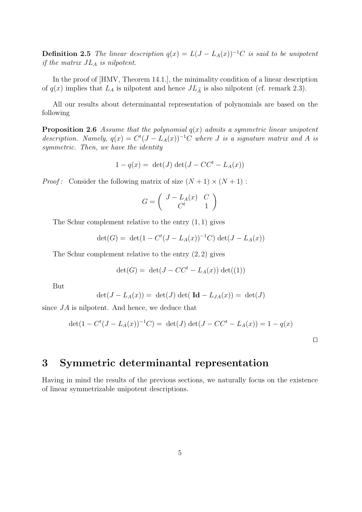**Definition 2.5** The linear description  $q(x) = L(J - L_A(x))^{-1}C$  is said to be unipotent if the matrix  $J_{A}$  is nilpotent.

In the proof of [HMV, Theorem 14.1.], the minimality condition of a linear description of  $q(x)$  implies that  $L_A$  is nilpotent and hence  $JL_{\tilde{A}}$  is also nilpotent (cf. remark 2.3).

All our results about determinantal representation of polynomials are based on the following

**Proposition 2.6** Assume that the polynomial  $q(x)$  admits a symmetric linear unipotent description. Namely,  $q(x) = C^{t}(J - L_{A}(x))^{-1}C$  where J is a signature matrix and A is symmetric. Then, we have the identity

$$
1 - q(x) = \det(J) \det(J - CC^t - L_A(x))
$$

*Proof*: Consider the following matrix of size  $(N + 1) \times (N + 1)$ :

$$
G=\left(\begin{array}{cc}J-L_A(x)&C\\C^t&1\end{array}\right)
$$

The Schur complement relative to the entry  $(1, 1)$  gives

$$
\det(G) = \det(1 - C^t (J - L_A(x))^{-1} C) \det(J - L_A(x))
$$

The Schur complement relative to the entry (2, 2) gives

$$
\det(G) = \det(J - CC^t - L_A(x)) \det((1))
$$

But

$$
\det(J - L_A(x)) = \det(J) \det(\mathrm{Id} - L_{JA}(x)) = \det(J)
$$

since JA is nilpotent. And hence, we deduce that

$$
\det(1 - C^t (J - L_A(x))^{-1} C) = \det(J) \det(J - C C^t - L_A(x)) = 1 - q(x)
$$

⊓⊔

## 3 Symmetric determinantal representation

Having in mind the results of the previous sections, we naturally focus on the existence of linear symmetrizable unipotent descriptions.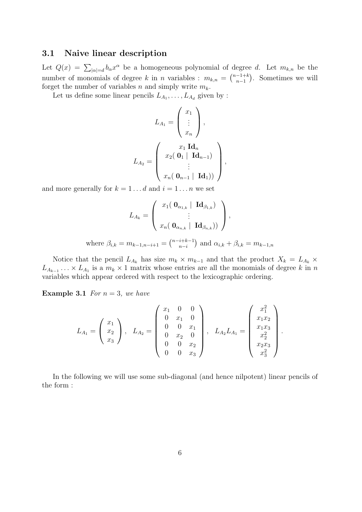### 3.1 Naive linear description

Let  $Q(x) = \sum_{|\alpha|=d} b_{\alpha} x^{\alpha}$  be a homogeneous polynomial of degree d. Let  $m_{k,n}$  be the number of monomials of degree k in n variables :  $m_{k,n} = \binom{n-1+k}{n-1}$  $n-1$  . Sometimes we will forget the number of variables n and simply write  $m_k$ .

Let us define some linear pencils  $L_{A_1}, \ldots, L_{A_d}$  given by :

$$
L_{A_1} = \begin{pmatrix} x_1 \\ \vdots \\ x_n \end{pmatrix},
$$

$$
L_{A_2} = \begin{pmatrix} x_1 \operatorname{Id}_n \\ x_2(\begin{bmatrix} 0_1 \mid \operatorname{Id}_{n-1} \end{bmatrix}) \\ \vdots \\ x_n(\begin{bmatrix} 0_{n-1} \mid \operatorname{Id}_1 \end{bmatrix}) \end{pmatrix}
$$

,

and more generally for  $k = 1...d$  and  $i = 1...n$  we set

$$
L_{A_k} = \left(\begin{array}{c} x_1(\mathbf{0}_{\alpha_{1,k}} \mid \mathbf{Id}_{\beta_{1,k}}) \\ \vdots \\ x_n(\mathbf{0}_{\alpha_{n,k}} \mid \mathbf{Id}_{\beta_{n,k}})) \end{array}\right),
$$

where  $\beta_{i,k} = m_{k-1,n-i+1} = \binom{n-i+k-1}{n-i}$  $n-i$ ) and  $\alpha_{i,k} + \beta_{i,k} = m_{k-1,n}$ 

Notice that the pencil  $L_{A_k}$  has size  $m_k \times m_{k-1}$  and that the product  $X_k = L_{A_k} \times$  $L_{A_{k-1}} \ldots \times L_{A_1}$  is a  $m_k \times 1$  matrix whose entries are all the monomials of degree k in n variables which appear ordered with respect to the lexicographic ordering.

**Example 3.1** For  $n = 3$ , we have

$$
L_{A_1} = \begin{pmatrix} x_1 \\ x_2 \\ x_3 \end{pmatrix}, \quad L_{A_2} = \begin{pmatrix} x_1 & 0 & 0 \\ 0 & x_1 & 0 \\ 0 & 0 & x_1 \\ 0 & x_2 & 0 \\ 0 & 0 & x_2 \\ 0 & 0 & x_3 \end{pmatrix}, \quad L_{A_2} L_{A_1} = \begin{pmatrix} x_1^2 \\ x_1 x_2 \\ x_1 x_3 \\ x_2^2 \\ x_2 x_3 \\ x_4^2 \end{pmatrix}.
$$

In the following we will use some sub-diagonal (and hence nilpotent) linear pencils of the form :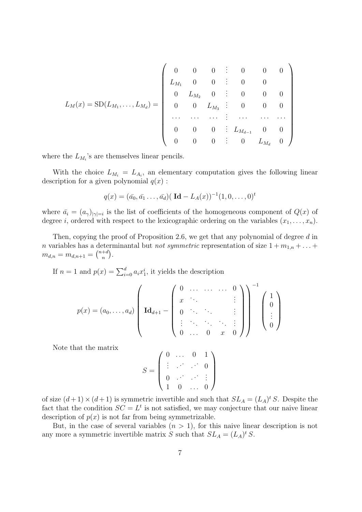$$
L_M(x) = SD(L_{M_1}, \ldots, L_{M_d}) = \left( \begin{array}{ccccc} 0 & 0 & 0 & \vdots & 0 & 0 & 0 \\ L_{M_1} & 0 & 0 & \vdots & 0 & 0 & 0 \\ 0 & L_{M_2} & 0 & \vdots & 0 & 0 & 0 \\ 0 & 0 & L_{M_3} & \vdots & 0 & 0 & 0 \\ \cdots & \cdots & \cdots & \vdots & \cdots & \cdots & \cdots \\ 0 & 0 & 0 & \vdots & L_{M_{d-1}} & 0 & 0 \\ 0 & 0 & 0 & \vdots & 0 & L_{M_d} & 0 \end{array} \right)
$$

where the  $L_{M_i}$ 's are themselves linear pencils.

With the choice  $L_{M_i} = L_{A_i}$ , an elementary computation gives the following linear description for a given polynomial  $q(x)$ :

$$
q(x) = (\bar{a}_0, \bar{a}_1 \dots, \bar{a}_d) (\mathbf{Id} - L_A(x))^{-1} (1, 0, \dots, 0)^t
$$

where  $\bar{a}_i = (a_{\gamma})_{|\gamma|=i}$  is the list of coefficients of the homogeneous component of  $Q(x)$  of degree *i*, ordered with respect to the lexicographic ordering on the variables  $(x_1, \ldots, x_n)$ .

Then, copying the proof of Proposition 2.6, we get that any polynomial of degree d in n variables has a determinantal but *not symmetric* representation of size  $1 + m_{1,n} + \ldots$  $m_{d,n} = m_{d,n+1} = \binom{n+d}{n}$  $\binom{+d}{n}$ .

If  $n = 1$  and  $p(x) = \sum_{i=0}^{d} a_i x_1^i$ , it yields the description

$$
p(x) = (a_0, \ldots, a_d) \left( \mathbf{Id}_{d+1} - \begin{pmatrix} 0 & \cdots & \cdots & 0 \\ x & \ddots & & \vdots \\ 0 & \cdots & \ddots & \vdots \\ \vdots & \ddots & \ddots & \ddots & \vdots \\ 0 & \cdots & 0 & x & 0 \end{pmatrix} \right)^{-1} \left( \begin{pmatrix} 1 \\ 0 \\ \vdots \\ 0 \end{pmatrix} \right)
$$

Note that the matrix

$$
S = \left(\begin{array}{cccc}0 & \ldots & 0 & 1 \\ \vdots & \ddots & \ddots & 0 \\ 0 & \ldots & \ddots & \vdots \\ 1 & 0 & \ldots & 0\end{array}\right)
$$

of size  $(d+1) \times (d+1)$  is symmetric invertible and such that  $SL_A = (L_A)^t S$ . Despite the fact that the condition  $SC = L<sup>t</sup>$  is not satisfied, we may conjecture that our naive linear description of  $p(x)$  is not far from being symmetrizable.

But, in the case of several variables  $(n > 1)$ , for this naive linear description is not any more a symmetric invertible matrix S such that  $SL_A = (L_A)^t S$ .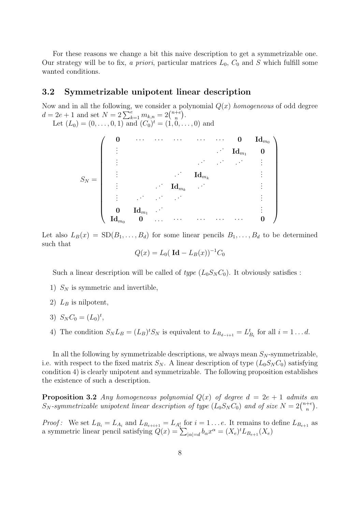For these reasons we change a bit this naive description to get a symmetrizable one. Our strategy will be to fix, a priori, particular matrices  $L_0$ ,  $C_0$  and S which fulfill some wanted conditions.

#### 3.2 Symmetrizable unipotent linear description

Now and in all the following, we consider a polynomial  $Q(x)$  homogeneous of odd degree  $d = 2e + 1$  and set  $N = 2\sum_{k=1}^{e} m_{k,n} = 2\binom{n+e}{n}$  $\binom{+e}{n}$ . Let  $(L_0) = (0, \ldots, 0, 1)$  and  $(C_0)^t = (1, 0, \ldots, 0)$  and

$$
S_N=\left(\begin{array}{ccccc} {\bf 0} & \cdots & \cdots & \cdots & \cdots & {\bf 0} & {\bf Id}_{m_0} \\ \vdots & & & & {\bf Id}_{m_1} & {\bf 0} \\ \vdots & & & & {\bf Id}_{m_k} & & \vdots \\ \vdots & & & & {\bf Id}_{m_k} & & \vdots \\ \vdots & & & & & \vdots \\ {\bf 0} & {\bf Id}_{m_1} & \cdots & & & & \vdots \\ {\bf Id}_{m_0} & {\bf 0} & \cdots & \cdots & \cdots & \cdots & {\bf 0} \end{array}\right)
$$

Let also  $L_B(x) = SD(B_1, \ldots, B_d)$  for some linear pencils  $B_1, \ldots, B_d$  to be determined such that

$$
Q(x) = L_0(\mathrm{Id} - L_B(x))^{-1}C_0
$$

Such a linear description will be called of type  $(L_0S_N C_0)$ . It obviously satisfies :

- 1)  $S_N$  is symmetric and invertible,
- 2)  $L_B$  is nilpotent,
- 3)  $S_N C_0 = (L_0)^t$ ,
- 4) The condition  $S_N L_B = (L_B)^t S_N$  is equivalent to  $L_{B_{d-i+1}} = L_{B_i}^t$  for all  $i = 1...d$ .

In all the following by symmetrizable descriptions, we always mean  $S_N$ -symmetrizable, i.e. with respect to the fixed matrix  $S_N$ . A linear description of type  $(L_0S_N C_0)$  satisfying condition 4) is clearly unipotent and symmetrizable. The following proposition establishes the existence of such a description.

**Proposition 3.2** Any homogeneous polynomial  $Q(x)$  of degree  $d = 2e + 1$  admits an  $S_N$ -symmetrizable unipotent linear description of type  $(L_0S_NC_0)$  and of size  $N=2\binom{n+e}{n}$  $\binom{+e}{n}$ .

*Proof:* We set  $L_{B_i} = L_{A_i}$  and  $L_{B_{e+i+1}} = L_{A_i^t}$  for  $i = 1 \ldots e$ . It remains to define  $L_{B_{e+1}}$  as a symmetric linear pencil satisfying  $Q(x) = \sum_{|\alpha|=d} b_{\alpha} x^{\alpha} = (X_e)^t L_{B_{e+1}}(X_e)$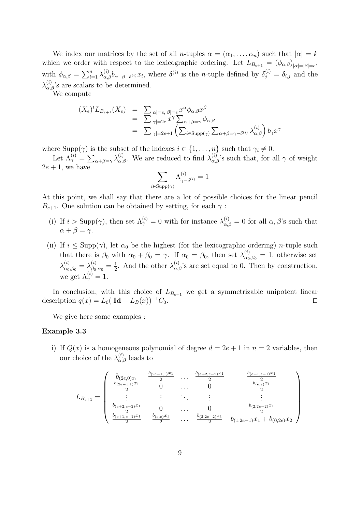We index our matrices by the set of all *n*-tuples  $\alpha = (\alpha_1, \dots, \alpha_n)$  such that  $|\alpha| = k$ which we order with respect to the lexicographic ordering. Let  $L_{B_{e+1}} = (\phi_{\alpha,\beta})_{|\alpha|=|\beta|=e}$ , with  $\phi_{\alpha,\beta} = \sum_{i=1}^n \lambda_{\alpha,\beta}^{(i)} b_{\alpha+\beta+\delta^{(i)}} x_i$ , where  $\delta^{(i)}$  is the *n*-tuple defined by  $\delta_j^{(i)} = \delta_{i,j}$  and the  $\lambda_{\alpha,\beta}^{(i)}$ 's are scalars to be determined.

We compute

$$
(X_e)^t L_{B_{e+1}}(X_e) = \sum_{|\gamma|=2e} \sum_{|\gamma|=2e} x^{\alpha} \phi_{\alpha,\beta} x^{\beta}
$$
  
= 
$$
\sum_{|\gamma|=2e} x^{\gamma} \sum_{\alpha+\beta=\gamma} \phi_{\alpha,\beta}
$$
  
= 
$$
\sum_{|\gamma|=2e+1} \left( \sum_{i \in \text{Supp}(\gamma)} \sum_{\alpha+\beta=\gamma-\delta^{(i)}} \lambda^{(i)}_{\alpha,\beta} \right) b_{\gamma} x^{\gamma}
$$

where  $\text{Supp}(\gamma)$  is the subset of the indexes  $i \in \{1, \ldots, n\}$  such that  $\gamma_i \neq 0$ .

Let  $\Lambda_{\gamma}^{(i)} = \sum_{\alpha+\beta=\gamma} \lambda_{\alpha,\beta}^{(i)}$ . We are reduced to find  $\lambda_{\alpha,\beta}^{(i)}$ 's such that, for all  $\gamma$  of weight  $2e + 1$ , we have

$$
\sum_{i \in \text{Supp}(\gamma)} \Lambda_{\gamma - \delta^{(i)}}^{(i)} = 1
$$

At this point, we shall say that there are a lot of possible choices for the linear pencil  $B_{e+1}$ . One solution can be obtained by setting, for each  $\gamma$ :

- (i) If  $i > \text{Supp}(\gamma)$ , then set  $\Lambda_{\gamma}^{(i)} = 0$  with for instance  $\lambda_{\alpha,\beta}^{(i)} = 0$  for all  $\alpha,\beta$ 's such that  $\alpha + \beta = \gamma$ .
- (ii) If  $i \leq \text{Supp}(\gamma)$ , let  $\alpha_0$  be the highest (for the lexicographic ordering) *n*-tuple such that there is  $\beta_0$  with  $\alpha_0 + \beta_0 = \gamma$ . If  $\alpha_0 = \beta_0$ , then set  $\lambda_{\alpha_0,\beta_0}^{(i)} = 1$ , otherwise set  $\lambda^{(i)}_{\alpha_0,\beta_0}=\lambda^{(i)}_{\beta_0,\alpha_0}=\frac{1}{2}$  $\frac{1}{2}$ . And the other  $\lambda_{\alpha,\beta}^{(i)}$ 's are set equal to 0. Then by construction, we get  $\Lambda_{\gamma}^{(i)}=1$ .

In conclusion, with this choice of  $L_{B_{e+1}}$  we get a symmetrizable unipotent linear description  $q(x) = L_0(\text{Id} - L_B(x))^{-1}C_0$ .

We give here some examples :

#### Example 3.3

i) If  $Q(x)$  is a homogeneous polynomial of degree  $d = 2e + 1$  in  $n = 2$  variables, then our choice of the  $\lambda_{\alpha,\beta}^{(i)}$  leads to

$$
L_{B_{e+1}} = \begin{pmatrix} b_{(2e,0)x_1} & \frac{b_{(2e-1,1)}x_1}{2} & \dots & \frac{b_{(e+2,e-2)}x_1}{2} & \frac{b_{(e+1,e-1)}x_1}{2} \\ \frac{b_{(2e-1,1)}x_1}{2} & 0 & \dots & 0 & \frac{b_{(e,e)}x_1}{2} \\ \vdots & \vdots & \ddots & \vdots & \vdots & \vdots \\ \frac{b_{(e+2,e-2)}x_1}{2} & 0 & \dots & 0 & \frac{b_{(2,2e-2)}x_1}{2} \\ \frac{b_{(e+1,e-1)}x_1}{2} & \frac{b_{(e,e)}x_1}{2} & \dots & \frac{b_{(2,2e-2)}x_1}{2} & b_{(1,2e-1)}x_1 + b_{(0,2e)}x_2 \end{pmatrix}
$$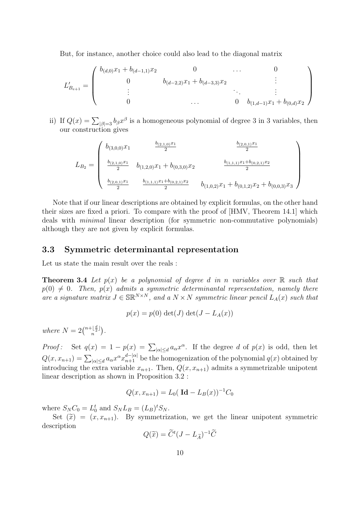But, for instance, another choice could also lead to the diagonal matrix

$$
L'_{B_{e+1}} = \begin{pmatrix} b_{(d,0)}x_1 + b_{(d-1,1)}x_2 & 0 & \cdots & 0 \\ 0 & b_{(d-2,2)}x_1 + b_{(d-3,3)}x_2 & \vdots & \vdots \\ \vdots & \vdots & \ddots & \vdots \\ 0 & \cdots & 0 & b_{(1,d-1)}x_1 + b_{(0,d)}x_2 \end{pmatrix}
$$

ii) If  $Q(x) = \sum_{|\beta|=3} b_{\beta} x^{\beta}$  is a homogeneous polynomial of degree 3 in 3 variables, then our construction gives

$$
L_{B_2} = \begin{pmatrix} b_{(3,0,0)}x_1 & \frac{b_{(2,1,0)}x_1}{2} & \frac{b_{(2,0,1)}x_1}{2} \\ \frac{b_{(2,1,0)}x_1}{2} & b_{(1,2,0)}x_1 + b_{(0,3,0)}x_2 & \frac{b_{(1,1,1)}x_1 + b_{(0,2,1)}x_2}{2} \\ \frac{b_{(2,0,1)}x_1}{2} & \frac{b_{(1,1,1)}x_1 + b_{(0,2,1)}x_2}{2} & b_{(1,0,2)}x_1 + b_{(0,1,2)}x_2 + b_{(0,0,3)}x_3 \end{pmatrix}
$$

Note that if our linear descriptions are obtained by explicit formulas, on the other hand their sizes are fixed a priori. To compare with the proof of [HMV, Theorem 14.1] which deals with minimal linear description (for symmetric non-commutative polynomials) although they are not given by explicit formulas.

### 3.3 Symmetric determinantal representation

Let us state the main result over the reals :

**Theorem 3.4** Let  $p(x)$  be a polynomial of degree d in n variables over  $\mathbb{R}$  such that  $p(0) \neq 0$ . Then,  $p(x)$  admits a symmetric determinantal representation, namely there are a signature matrix  $J \in \mathbb{SR}^{N \times N}$ , and a  $N \times N$  symmetric linear pencil  $L_A(x)$  such that

$$
p(x) = p(0) \det(J) \det(J - L_A(x))
$$

where  $N = 2 {n + \lfloor \frac{d}{2} \rfloor \choose n}$ .

*Proof:* Set  $q(x) = 1 - p(x) = \sum_{|\alpha| \le d} a_{\alpha} x^{\alpha}$ . If the degree d of  $p(x)$  is odd, then let  $Q(x, x_{n+1}) = \sum_{|\alpha| \le d} a_{\alpha} x^{\alpha} x_{n+1}^{d-|\alpha|}$  be the homogenization of the polynomial  $q(x)$  obtained by introducing the extra variable  $x_{n+1}$ . Then,  $Q(x, x_{n+1})$  admits a symmetrizable unipotent linear description as shown in Proposition 3.2 :

$$
Q(x, x_{n+1}) = L_0(\ \mathrm{Id} - L_B(x))^{-1}C_0
$$

where  $S_N C_0 = L_0^t$  and  $S_N L_B = (L_B)^t S_N$ .

Set  $(\tilde{x}) = (x, x_{n+1})$ . By symmetrization, we get the linear unipotent symmetric description

$$
Q(\widetilde{x}) = \widetilde{C}^t (J - L_{\widetilde{A}})^{-1} \widetilde{C}
$$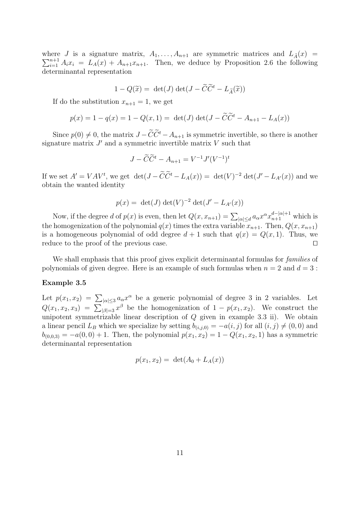$\sum_{i=1}^{n+1} A_i x_i = L_A(x) + A_{n+1}x_{n+1}$ . Then, we deduce by Proposition 2.6 the following where J is a signature matrix,  $A_1, \ldots, A_{n+1}$  are symmetric matrices and  $L_{\tilde{A}}(x)$  = determinantal representation

$$
1 - Q(\widetilde{x}) = \det(J) \det(J - \widetilde{C}\widetilde{C}^t - L_{\widetilde{A}}(\widetilde{x}))
$$

If do the substitution  $x_{n+1} = 1$ , we get

$$
p(x) = 1 - q(x) = 1 - Q(x, 1) = \det(J) \det(J - \tilde{C}\tilde{C}^t - A_{n+1} - L_A(x))
$$

Since  $p(0) \neq 0$ , the matrix  $J - \widetilde{C}\widetilde{C}^t - A_{n+1}$  is symmetric invertible, so there is another signature matrix  $J'$  and a symmetric invertible matrix  $V$  such that

$$
J - \widetilde{C}\widetilde{C}^t - A_{n+1} = V^{-1}J'(V^{-1})^t
$$

If we set  $A' = VAV^t$ , we get  $\det(J - \tilde{C}\tilde{C}^t - L_A(x)) = \det(V)^{-2} \det(J' - L_{A'}(x))$  and we obtain the wanted identity

$$
p(x) = \det(J) \det(V)^{-2} \det(J' - L_{A'}(x))
$$

Now, if the degree d of  $p(x)$  is even, then let  $Q(x, x_{n+1}) = \sum_{|\alpha| \le d} a_{\alpha} x^{\alpha} x_{n+1}^{d-|\alpha|+1}$  which is the homogenization of the polynomial  $q(x)$  times the extra variable  $x_{n+1}$ . Then,  $Q(x, x_{n+1})$ is a homogeneous polynomial of odd degree  $d + 1$  such that  $q(x) = Q(x, 1)$ . Thus, we reduce to the proof of the previous case. □

We shall emphasis that this proof gives explicit determinantal formulas for *families* of polynomials of given degree. Here is an example of such formulas when  $n = 2$  and  $d = 3$ :

#### Example 3.5

Let  $p(x_1, x_2) = \sum_{|\alpha| \leq 3} a_\alpha x^\alpha$  be a generic polynomial of degree 3 in 2 variables. Let  $Q(x_1, x_2, x_3) = \sum_{|\beta|=3} x^{\beta}$  be the homogenization of  $1 - p(x_1, x_2)$ . We construct the unipotent symmetrizable linear description of  $Q$  given in example 3.3 ii). We obtain a linear pencil  $L_B$  which we specialize by setting  $b_{(i,j,0)} = -a(i,j)$  for all  $(i,j) \neq (0,0)$  and  $b_{(0,0,3)} = -a(0,0) + 1$ . Then, the polynomial  $p(x_1, x_2) = 1 - Q(x_1, x_2, 1)$  has a symmetric determinantal representation

$$
p(x_1, x_2) = \det(A_0 + L_A(x))
$$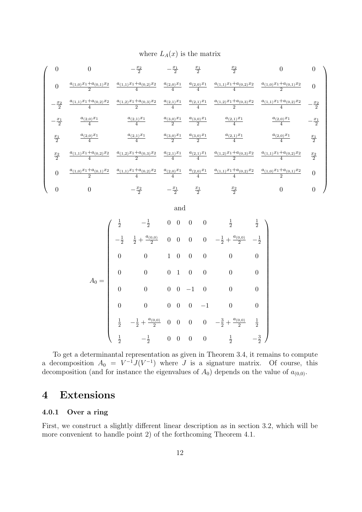where  $L_A(x)$  is the matrix

|               |                                       | $-\frac{x_2}{2}$                                                                                                                              | $-\frac{x_1}{2}$         | $rac{x_1}{2}$            | $rac{x_2}{2}$                                                        |                                       |                  |
|---------------|---------------------------------------|-----------------------------------------------------------------------------------------------------------------------------------------------|--------------------------|--------------------------|----------------------------------------------------------------------|---------------------------------------|------------------|
| $\theta$      |                                       | $\frac{a_{(1,0)}x_1 + a_{(0,1)}x_2}{2} \quad \frac{a_{(1,1)}x_1 + a_{(0,2)}x_2}{4} \quad \frac{a_{(2,0)}x_1}{4}$                              |                          |                          | $\frac{a_{(2,0)}x_1}{4}$ $\frac{a_{(1,1)}x_1+a_{(0,2)}x_2}{4}$       | $\frac{a_{(1,0)}x_1+a_{(0,1)}x_2}{2}$ | $\Omega$         |
| $rac{x_2}{2}$ | $\frac{a_{(1,1)}x_1+a_{(0,2)}x_2}{4}$ | $\frac{a_{(1,2)}x_1 + a_{(0,3)}x_2}{2} \quad \frac{a_{(2,1)}x_1}{4} \quad \frac{a_{(2,1)}x_1}{4} \quad \frac{a_{(1,2)}x_1 + a_{(0,3)}x_2}{2}$ |                          |                          |                                                                      | $\frac{a_{(1,1)}x_1+a_{(0,2)}x_2}{4}$ | $\frac{x_2}{2}$  |
| $rac{x_1}{2}$ | $\frac{a_{(2,0)}x_1}{4}$              | $\frac{a_{(2,1)}x_1}{4}$                                                                                                                      | $\frac{a_{(3,0)}x_1}{2}$ | $\frac{a_{(3,0)}x_1}{2}$ | $\frac{a_{(2,1)}x_1}{4}$                                             | $\frac{a_{(2,0)}x_1}{4}$              | $-\frac{x_1}{2}$ |
| $rac{x_1}{2}$ | $\frac{a_{(2,0)}x_1}{4}$              | $\frac{a_{(2,1)}x_1}{4}$                                                                                                                      | $\frac{a_{(3,0)}x_1}{2}$ | $\frac{a_{(3,0)}x_1}{2}$ | $\frac{a_{(2,1)}x_1}{4}$                                             | $\frac{a_{(2,0)}x_1}{4}$              | $rac{x_1}{2}$    |
| $rac{x_2}{2}$ |                                       | $\frac{a_{(1,1)}x_1+a_{(0,2)}x_2}{4} \quad \frac{a_{(1,2)}x_1+a_{(0,3)}x_2}{2}$                                                               | $\frac{a_{(2,1)}x_1}{4}$ |                          | $\frac{a_{(2,1)}x_1}{4}$ $\frac{a_{(1,2)}x_1+a_{(0,3)}x_2}{2}$       | $\frac{a_{(1,1)}x_1+a_{(0,2)}x_2}{4}$ | $rac{x_2}{2}$    |
| $\theta$      | $\frac{a_{(1,0)}x_1+a_{(0,1)}x_2}{2}$ | $\frac{a_{(1,1)}x_1+a_{(0,2)}x_2}{4}$                                                                                                         | $\frac{a_{(2,0)}x_1}{4}$ |                          | $\frac{a_{(2,0)}x_1}{4} \quad \frac{a_{(1,1)}x_1 + a_{(0,2)}x_2}{4}$ | $\frac{a_{(1,0)}x_1+a_{(0,1)}x_2}{2}$ | $\theta$         |
|               |                                       | $-\frac{x_2}{2}$                                                                                                                              | $-\frac{x_1}{2}$         | $rac{x_1}{2}$            | $rac{x_2}{2}$                                                        |                                       |                  |

and  $A_0 =$  $\begin{pmatrix} \frac{1}{2} & -\frac{1}{2} \end{pmatrix}$   $\frac{1}{2}$  0 0 0 0  $\frac{1}{2}$ 1 2  $-\frac{1}{2}$ 2  $rac{1}{2} + \frac{a_{(0,0)}}{2}$  $\frac{0.0}{2}$  0 0 0 0  $-\frac{1}{2} + \frac{a_{(0,0)}}{2}$   $-\frac{1}{2}$ 2 0 0 1 0 0 0 0 0 0 0 0 1 0 0 0 0 0 0 0 0 −1 0 0 0 0 0 0 0 0 −1 0 0  $\frac{1}{2}$   $-\frac{1}{2}$  +  $\frac{a_{(0,0)}}{2}$  $\frac{0,0)}{2}$  0 0 0  $-\frac{3}{2} + \frac{a_{(0,0)}}{2}$ 2 1 2  $\frac{1}{2}$   $-\frac{1}{2}$  $\frac{1}{2}$  0 0 0 0  $\frac{1}{2}$   $-\frac{3}{2}$ 2  $\setminus$ 

To get a determinantal representation as given in Theorem 3.4, it remains to compute a decomposition  $A_0 = V^{-1}J(V^{-1})$  where J is a signature matrix. Of course, this decomposition (and for instance the eigenvalues of  $A_0$ ) depends on the value of  $a_{(0,0)}$ .

### 4 Extensions

#### 4.0.1 Over a ring

First, we construct a slightly different linear description as in section 3.2, which will be more convenient to handle point 2) of the forthcoming Theorem 4.1.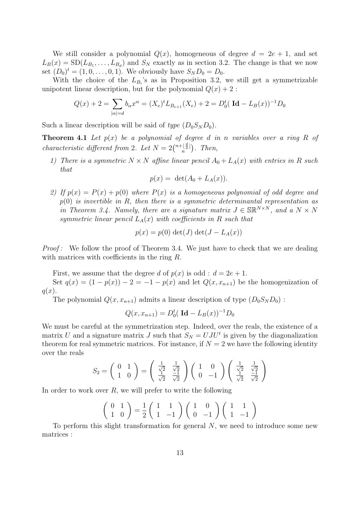We still consider a polynomial  $Q(x)$ , homogeneous of degree  $d = 2e + 1$ , and set  $L_B(x) = SD(L_{B_1}, \ldots, L_{B_d})$  and  $S_N$  exactly as in section 3.2. The change is that we now set  $(D_0)^t = (1, 0, \ldots, 0, 1)$ . We obviously have  $S_N D_0 = D_0$ .

With the choice of the  $L_{B_i}$ 's as in Proposition 3.2, we still get a symmetrizable unipotent linear description, but for the polynomial  $Q(x) + 2$ :

$$
Q(x) + 2 = \sum_{|\alpha| = d} b_{\alpha} x^{\alpha} = (X_e)^t L_{B_{e+1}}(X_e) + 2 = D_0^t (\mathbf{Id} - L_B(x))^{-1} D_0
$$

Such a linear description will be said of type  $(D_0S_N D_0)$ .

**Theorem 4.1** Let  $p(x)$  be a polynomial of degree d in n variables over a ring R of characteristic different from 2. Let  $N = 2 {n + \lfloor \frac{d}{2} \rfloor \choose n}$ . Then,

1) There is a symmetric  $N \times N$  affine linear pencil  $A_0 + L_A(x)$  with entries in R such that

$$
p(x) = \det(A_0 + L_A(x)).
$$

2) If  $p(x) = P(x) + p(0)$  where  $P(x)$  is a homogeneous polynomial of odd degree and  $p(0)$  is invertible in R, then there is a symmetric determinantal representation as in Theorem 3.4. Namely, there are a signature matrix  $J \in \mathbb{SR}^{N \times N}$ , and a  $N \times N$ symmetric linear pencil  $L_A(x)$  with coefficients in R such that

$$
p(x) = p(0) \det(J) \det(J - L_A(x))
$$

Proof: We follow the proof of Theorem 3.4. We just have to check that we are dealing with matrices with coefficients in the ring R.

First, we assume that the degree d of  $p(x)$  is odd :  $d = 2e + 1$ .

Set  $q(x) = (1 - p(x)) - 2 = -1 - p(x)$  and let  $Q(x, x_{n+1})$  be the homogenization of  $q(x)$ .

The polynomial  $Q(x, x_{n+1})$  admits a linear description of type  $(D_0S_ND_0)$ :

$$
Q(x, x_{n+1}) = D_0^t (\mathbf{Id} - L_B(x))^{-1} D_0
$$

We must be careful at the symmetrization step. Indeed, over the reals, the existence of a matrix U and a signature matrix J such that  $S_N = UJ U^t$  is given by the diagonalization theorem for real symmetric matrices. For instance, if  $N = 2$  we have the following identity over the reals

$$
S_2 = \begin{pmatrix} 0 & 1 \\ 1 & 0 \end{pmatrix} = \begin{pmatrix} \frac{1}{\sqrt{2}} & \frac{1}{\sqrt{2}} \\ \frac{1}{\sqrt{2}} & \frac{-1}{\sqrt{2}} \end{pmatrix} \begin{pmatrix} 1 & 0 \\ 0 & -1 \end{pmatrix} \begin{pmatrix} \frac{1}{\sqrt{2}} & \frac{1}{\sqrt{2}} \\ \frac{1}{\sqrt{2}} & \frac{-1}{\sqrt{2}} \end{pmatrix}
$$

In order to work over  $R$ , we will prefer to write the following

$$
\left(\begin{array}{cc} 0 & 1 \\ 1 & 0 \end{array}\right) = \frac{1}{2} \left(\begin{array}{cc} 1 & 1 \\ 1 & -1 \end{array}\right) \left(\begin{array}{cc} 1 & 0 \\ 0 & -1 \end{array}\right) \left(\begin{array}{cc} 1 & 1 \\ 1 & -1 \end{array}\right)
$$

To perform this slight transformation for general  $N$ , we need to introduce some new matrices :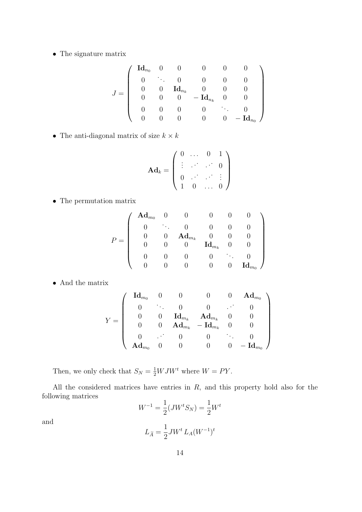• The signature matrix

$$
J = \left(\begin{array}{cccccc} \textbf{Id}_{n_0} & 0 & 0 & 0 & 0 & 0 \\ 0 & \ddots & 0 & 0 & 0 & 0 \\ 0 & 0 & \textbf{Id}_{n_k} & 0 & 0 & 0 \\ 0 & 0 & 0 & -\textbf{Id}_{n_k} & 0 & 0 \\ 0 & 0 & 0 & 0 & \ddots & 0 \\ 0 & 0 & 0 & 0 & 0 & -\textbf{Id}_{n_0} \end{array}\right)
$$

• The anti-diagonal matrix of size  $k \times k$ 

$$
\mathbf{Ad}_k = \left( \begin{array}{cccc} 0 & \dots & 0 & 1 \\ \vdots & \ddots & \ddots & 0 \\ 0 & \dots & \ddots & \vdots \\ 1 & 0 & \dots & 0 \end{array} \right)
$$

• The permutation matrix

$$
P = \left(\begin{array}{cccccc} \mathbf{A}\mathbf{d}_{m_0} & 0 & 0 & 0 & 0 & 0 \\ 0 & \ddots & 0 & 0 & 0 & 0 \\ 0 & 0 & \mathbf{A}\mathbf{d}_{m_k} & 0 & 0 & 0 \\ 0 & 0 & 0 & \mathbf{Id}_{m_k} & 0 & 0 \\ 0 & 0 & 0 & 0 & \ddots & 0 \\ 0 & 0 & 0 & 0 & 0 & \mathbf{Id}_{m_0} \end{array}\right)
$$

• And the matrix

$$
Y = \left(\begin{array}{ccccc} \textbf{Id}_{m_0} & 0 & 0 & 0 & 0 & \textbf{Ad}_{m_0} \\ 0 & \ddots & 0 & 0 & \ddots & 0 \\ 0 & 0 & \textbf{Id}_{m_k} & \textbf{Ad}_{m_k} & 0 & 0 \\ 0 & 0 & \textbf{Ad}_{m_k} & -\textbf{Id}_{m_k} & 0 & 0 \\ 0 & \ddots & 0 & 0 & \ddots & 0 \\ \textbf{Ad}_{m_0} & 0 & 0 & 0 & 0 & -\textbf{Id}_{m_0} \end{array}\right)
$$

Then, we only check that  $S_N = \frac{1}{2} W J W^t$  where  $W = PY$ .

All the considered matrices have entries in  $R$ , and this property hold also for the following matrices

$$
W^{-1} = \frac{1}{2}(JW^t S_N) = \frac{1}{2}W^t
$$
  

$$
L_{\tilde{A}} = \frac{1}{2}JW^t L_A(W^{-1})^t
$$

and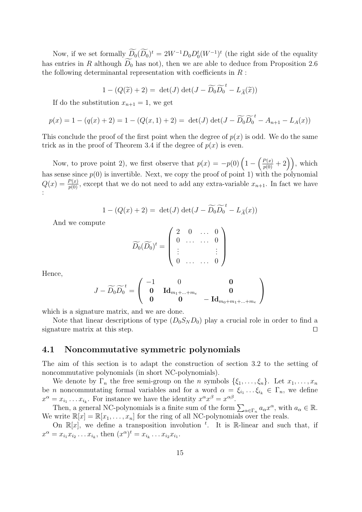Now, if we set formally  $D_0(D_0)^t = 2W^{-1}D_0D_0^t(W^{-1})^t$  (the right side of the equality has entries in R although  $D_0$  has not), then we are able to deduce from Proposition 2.6 the following determinantal representation with coefficients in  $R$ :

$$
1 - (Q(\widetilde{x}) + 2) = \det(J) \det(J - \widetilde{D}_0 \widetilde{D}_0^t - L_{\widetilde{A}}(\widetilde{x}))
$$

If do the substitution  $x_{n+1} = 1$ , we get

$$
p(x) = 1 - (q(x) + 2) = 1 - (Q(x, 1) + 2) = \det(J) \det(J - \widetilde{D_0} \widetilde{D_0}^t - A_{n+1} - L_A(x))
$$

This conclude the proof of the first point when the degree of  $p(x)$  is odd. We do the same trick as in the proof of Theorem 3.4 if the degree of  $p(x)$  is even.

Now, to prove point 2), we first observe that  $p(x) = -p(0)\left(1 - \left(\frac{P(x)}{p(0)} + 2\right)\right)$ , which has sense since  $p(0)$  is invertible. Next, we copy the proof of point 1) with the polynomial  $Q(x) = \frac{P(x)}{P(0)}$ , except that we do not need to add any extra-variable  $x_{n+1}$ . In fact we have :

$$
1 - (Q(x) + 2) = \det(J) \det(J - \widetilde{D}_0 \widetilde{D}_0^t - L_{\widetilde{A}}(x))
$$

And we compute

$$
\widetilde{D_0}(\widetilde{D_0})^t = \left( \begin{array}{cccc} 2 & 0 & \dots & 0 \\ 0 & \dots & \dots & 0 \\ \vdots & & & \vdots \\ 0 & \dots & \dots & 0 \end{array} \right)
$$

Hence,

$$
J-\widetilde{D_0}\widetilde{D_0}^t=\left(\begin{array}{ccc} -1 & 0 & \mathbf{0} \\ \mathbf{0} & \mathbf{Id}_{m_1+...+m_e} & \mathbf{0} \\ \mathbf{0} & \mathbf{0} & -\mathbf{Id}_{m_0+m_1+...+m_e} \end{array}\right)
$$

which is a signature matrix, and we are done.

Note that linear descriptions of type  $(D_0S_N D_0)$  play a crucial role in order to find a signature matrix at this step. □

### 4.1 Noncommutative symmetric polynomials

The aim of this section is to adapt the construction of section 3.2 to the setting of noncommutative polynomials (in short NC-polynomials).

We denote by  $\Gamma_n$  the free semi-group on the n symbols  $\{\xi_1, \ldots, \xi_n\}$ . Let  $x_1, \ldots, x_n$ be *n* noncommutating formal variables and for a word  $\alpha = \xi_{i_1} \dots \xi_{i_k} \in \Gamma_n$ , we define  $x^{\alpha} = x_{i_1} \dots x_{i_k}$ . For instance we have the identity  $x^{\alpha} x^{\beta} = x^{\alpha \beta}$ .

Then, a general NC-polynomials is a finite sum of the form  $\sum_{\alpha \in \Gamma_n} a_{\alpha} x^{\alpha}$ , with  $a_{\alpha} \in \mathbb{R}$ . We write  $\mathbb{R}[x] = \mathbb{R}[x_1, \ldots, x_n]$  for the ring of all NC-polynomials over the reals.

On  $\mathbb{R}[x]$ , we define a transposition involution <sup>t</sup>. It is R-linear and such that, if  $x^{\alpha} = x_{i_1} x_{i_2} \dots x_{i_k}$ , then  $(x^{\alpha})^t = x_{i_k} \dots x_{i_2} x_{i_1}$ .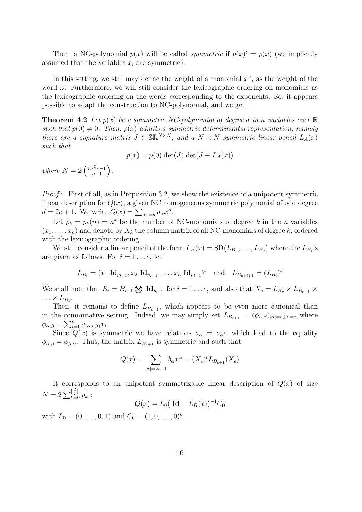Then, a NC-polynomial  $p(x)$  will be called *symmetric* if  $p(x)^t = p(x)$  (we implicitly assumed that the variables  $x_i$  are symmetric).

In this setting, we still may define the weight of a monomial  $x^{\omega}$ , as the weight of the word  $\omega$ . Furthermore, we will still consider the lexicographic ordering on monomials as the lexicographic ordering on the words corresponding to the exponents. So, it appears possible to adapt the construction to NC-polynomial, and we get :

**Theorem 4.2** Let  $p(x)$  be a symmetric NC-polynomial of degree d in n variables over  $\mathbb{R}$ such that  $p(0) \neq 0$ . Then,  $p(x)$  admits a symmetric determinantal representation, namely there are a signature matrix  $J \in \mathbb{SR}^{N \times N}$ , and a  $N \times N$  symmetric linear pencil  $L_A(x)$ such that

$$
p(x) = p(0) \det(J) \det(J - L_A(x))
$$

where  $N=2\left(\frac{n^{\lfloor \frac{d}{2} \rfloor}-1}{n-1}\right)$  $n-1$ .

Proof: First of all, as in Proposition 3.2, we show the existence of a unipotent symmetric linear description for  $Q(x)$ , a given NC homogeneous symmetric polynomial of odd degree  $d = 2e + 1$ . We write  $Q(x) = \sum_{|\alpha|=d} a_{\alpha} x^{\alpha}$ .

Let  $p_k = p_k(n) = n^k$  be the number of NC-monomials of degree k in the n variables  $(x_1, \ldots, x_n)$  and denote by  $X_k$  the column matrix of all NC-monomials of degree k, ordered with the lexicographic ordering.

We still consider a linear pencil of the form  $L_B(x) = SD(L_{B_1}, \ldots, L_{B_d})$  where the  $L_{B_i}$ 's are given as follows. For  $i = 1 \dots e$ , let

$$
L_{B_i} = (x_1 \operatorname{Id}_{p_{i-1}}, x_2 \operatorname{Id}_{p_{i-1}}, \dots, x_n \operatorname{Id}_{p_{i-1}})^t \text{ and } L_{B_{e+i+1}} = (L_{B_i})^t
$$

We shall note that  $B_i = B_{i-1} \bigotimes \mathbf{Id}_{p_{i-1}}$  for  $i = 1 \dots e$ , and also that  $X_e = L_{B_e} \times L_{B_{e-1}} \times L_{B_{e-1}}$  $\ldots \times L_{B_1}.$ 

Then, it remains to define  $L_{B_{e+1}}$ , which appears to be even more canonical than in the commutative setting. Indeed, we may simply set  $L_{B_{e+1}} = (\phi_{\alpha,\beta})_{|\alpha|=e,|\beta|=e}$  where  $\phi_{\alpha,\beta} = \sum_{i=1}^n a_{(\alpha,i,\beta)} x_i.$ 

Since  $Q(x)$  is symmetric we have relations  $a_{\alpha} = a_{\alpha^t}$ , which lead to the equality  $\phi_{\alpha,\beta} = \phi_{\beta,\alpha}$ . Thus, the matrix  $L_{B_{\rho+1}}$  is symmetric and such that

$$
Q(x) = \sum_{|\alpha|=2e+1} b_{\alpha} x^{\alpha} = (X_e)^t L_{B_{e+1}}(X_e)
$$

It corresponds to an unipotent symmetrizable linear description of  $Q(x)$  of size  $N = 2 \sum_{k=0}^{\lfloor \frac{d}{2} \rfloor} p_k$ :

$$
Q(x) = L_0(\mathrm{Id} - L_B(x))^{-1}C_0
$$

with  $L_0 = (0, \ldots, 0, 1)$  and  $C_0 = (1, 0, \ldots, 0)^t$ .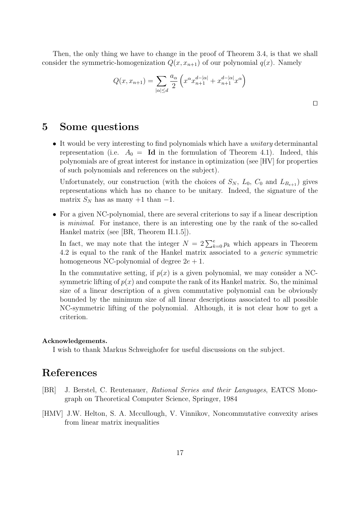Then, the only thing we have to change in the proof of Theorem 3.4, is that we shall consider the symmetric-homogenization  $Q(x, x_{n+1})$  of our polynomial  $q(x)$ . Namely

$$
Q(x, x_{n+1}) = \sum_{|\alpha| \le d} \frac{a_{\alpha}}{2} \left( x^{\alpha} x_{n+1}^{d - |\alpha|} + x_{n+1}^{d - |\alpha|} x^{\alpha} \right)
$$

# 5 Some questions

• It would be very interesting to find polynomials which have a *unitary* determinantal representation (i.e.  $A_0 = \mathbf{Id}$  in the formulation of Theorem 4.1). Indeed, this polynomials are of great interest for instance in optimization (see [HV] for properties of such polynomials and references on the subject).

Unfortunately, our construction (with the choices of  $S_N$ ,  $L_0$ ,  $C_0$  and  $L_{B_{e+1}}$ ) gives representations which has no chance to be unitary. Indeed, the signature of the matrix  $S_N$  has as many +1 than -1.

• For a given NC-polynomial, there are several criterions to say if a linear description is minimal. For instance, there is an interesting one by the rank of the so-called Hankel matrix (see [BR, Theorem II.1.5]).

In fact, we may note that the integer  $N = 2\sum_{k=0}^{e} p_k$  which appears in Theorem 4.2 is equal to the rank of the Hankel matrix associated to a generic symmetric homogeneous NC-polynomial of degree  $2e + 1$ .

In the commutative setting, if  $p(x)$  is a given polynomial, we may consider a NCsymmetric lifting of  $p(x)$  and compute the rank of its Hankel matrix. So, the minimal size of a linear description of a given commutative polynomial can be obviously bounded by the minimum size of all linear descriptions associated to all possible NC-symmetric lifting of the polynomial. Although, it is not clear how to get a criterion.

#### Acknowledgements.

I wish to thank Markus Schweighofer for useful discussions on the subject.

# References

- [BR] J. Berstel, C. Reutenauer, Rational Series and their Languages, EATCS Monograph on Theoretical Computer Science, Springer, 1984
- [HMV] J.W. Helton, S. A. Mccullough, V. Vinnikov, Noncommutative convexity arises from linear matrix inequalities